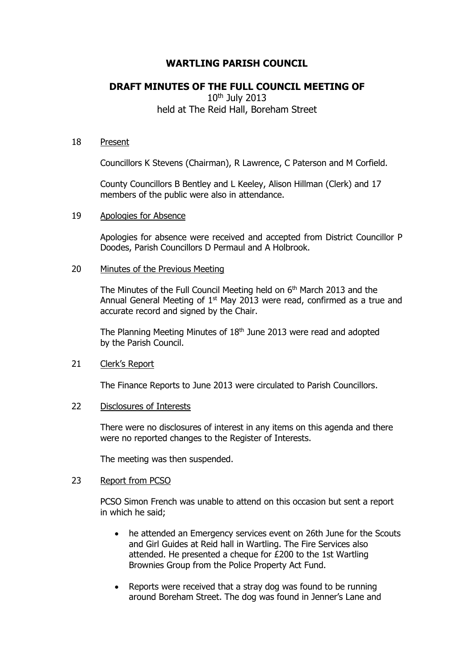# **WARTLING PARISH COUNCIL**

# **DRAFT MINUTES OF THE FULL COUNCIL MEETING OF**

## $10<sup>th</sup>$  July 2013 held at The Reid Hall, Boreham Street

#### 18 Present

Councillors K Stevens (Chairman), R Lawrence, C Paterson and M Corfield.

County Councillors B Bentley and L Keeley, Alison Hillman (Clerk) and 17 members of the public were also in attendance.

## 19 Apologies for Absence

Apologies for absence were received and accepted from District Councillor P Doodes, Parish Councillors D Permaul and A Holbrook.

## 20 Minutes of the Previous Meeting

The Minutes of the Full Council Meeting held on 6<sup>th</sup> March 2013 and the Annual General Meeting of  $1<sup>st</sup>$  May 2013 were read, confirmed as a true and accurate record and signed by the Chair.

The Planning Meeting Minutes of 18<sup>th</sup> June 2013 were read and adopted by the Parish Council.

## 21 Clerk's Report

The Finance Reports to June 2013 were circulated to Parish Councillors.

## 22 Disclosures of Interests

There were no disclosures of interest in any items on this agenda and there were no reported changes to the Register of Interests.

The meeting was then suspended.

## 23 Report from PCSO

PCSO Simon French was unable to attend on this occasion but sent a report in which he said;

- he attended an Emergency services event on 26th June for the Scouts and Girl Guides at Reid hall in Wartling. The Fire Services also attended. He presented a cheque for £200 to the 1st Wartling Brownies Group from the Police Property Act Fund.
- Reports were received that a stray dog was found to be running around Boreham Street. The dog was found in Jenner's Lane and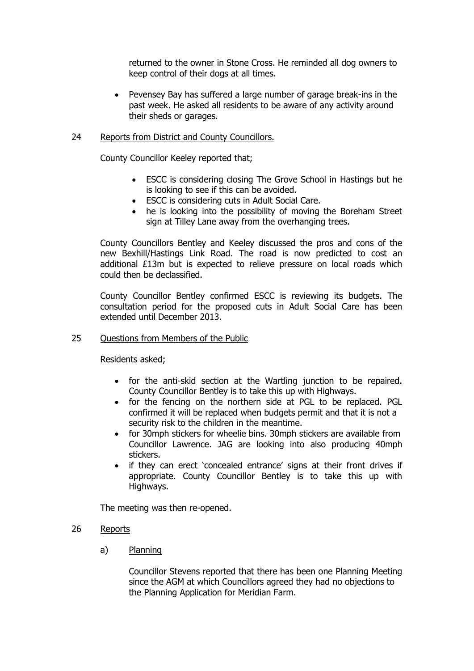returned to the owner in Stone Cross. He reminded all dog owners to keep control of their dogs at all times.

 Pevensey Bay has suffered a large number of garage break-ins in the past week. He asked all residents to be aware of any activity around their sheds or garages.

## 24 Reports from District and County Councillors.

County Councillor Keeley reported that;

- ESCC is considering closing The Grove School in Hastings but he is looking to see if this can be avoided.
- ESCC is considering cuts in Adult Social Care.
- he is looking into the possibility of moving the Boreham Street sign at Tilley Lane away from the overhanging trees.

County Councillors Bentley and Keeley discussed the pros and cons of the new Bexhill/Hastings Link Road. The road is now predicted to cost an additional £13m but is expected to relieve pressure on local roads which could then be declassified.

County Councillor Bentley confirmed ESCC is reviewing its budgets. The consultation period for the proposed cuts in Adult Social Care has been extended until December 2013.

#### 25 Questions from Members of the Public

Residents asked;

- for the anti-skid section at the Wartling junction to be repaired. County Councillor Bentley is to take this up with Highways.
- for the fencing on the northern side at PGL to be replaced. PGL confirmed it will be replaced when budgets permit and that it is not a security risk to the children in the meantime.
- for 30mph stickers for wheelie bins. 30mph stickers are available from Councillor Lawrence. JAG are looking into also producing 40mph stickers.
- if they can erect 'concealed entrance' signs at their front drives if appropriate. County Councillor Bentley is to take this up with Highways.

The meeting was then re-opened.

#### 26 Reports

a) Planning

Councillor Stevens reported that there has been one Planning Meeting since the AGM at which Councillors agreed they had no objections to the Planning Application for Meridian Farm.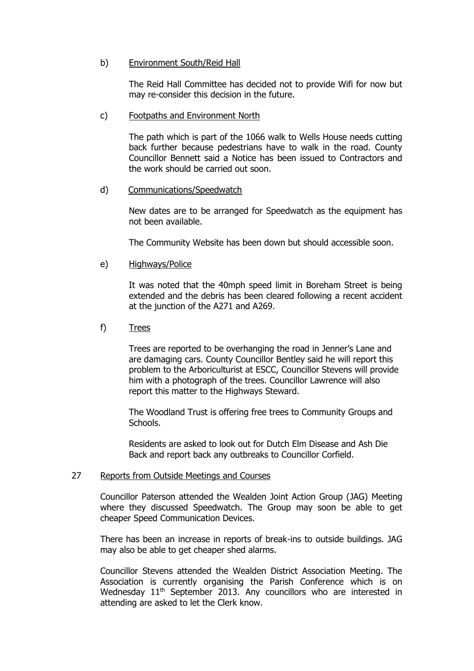## b) Environment South/Reid Hall

The Reid Hall Committee has decided not to provide Wifi for now but may re-consider this decision in the future.

#### c) Footpaths and Environment North

The path which is part of the 1066 walk to Wells House needs cutting back further because pedestrians have to walk in the road. County Councillor Bennett said a Notice has been issued to Contractors and the work should be carried out soon.

## d) Communications/Speedwatch

New dates are to be arranged for Speedwatch as the equipment has not been available.

The Community Website has been down but should accessible soon.

e) Highways/Police

It was noted that the 40mph speed limit in Boreham Street is being extended and the debris has been cleared following a recent accident at the junction of the A271 and A269.

f) Trees

Trees are reported to be overhanging the road in Jenner's Lane and are damaging cars. County Councillor Bentley said he will report this problem to the Arboriculturist at ESCC, Councillor Stevens will provide him with a photograph of the trees. Councillor Lawrence will also report this matter to the Highways Steward.

The Woodland Trust is offering free trees to Community Groups and Schools.

Residents are asked to look out for Dutch Elm Disease and Ash Die Back and report back any outbreaks to Councillor Corfield.

## 27 Reports from Outside Meetings and Courses

Councillor Paterson attended the Wealden Joint Action Group (JAG) Meeting where they discussed Speedwatch. The Group may soon be able to get cheaper Speed Communication Devices.

There has been an increase in reports of break-ins to outside buildings. JAG may also be able to get cheaper shed alarms.

Councillor Stevens attended the Wealden District Association Meeting. The Association is currently organising the Parish Conference which is on Wednesday 11<sup>th</sup> September 2013. Any councillors who are interested in attending are asked to let the Clerk know.